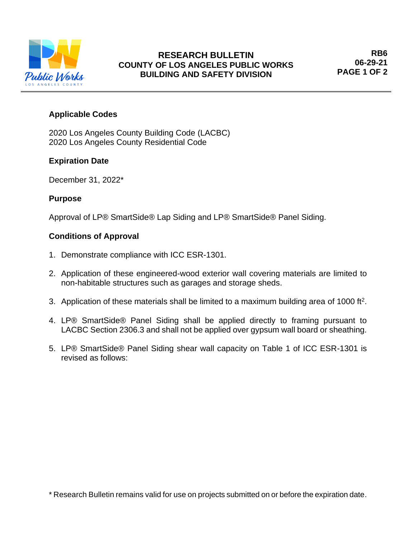

# **Applicable Codes**

2020 Los Angeles County Building Code (LACBC) 2020 Los Angeles County Residential Code

# **Expiration Date**

December 31, 2022\*

# **Purpose**

Approval of LP® SmartSide® Lap Siding and LP® SmartSide® Panel Siding.

## **Conditions of Approval**

- 1. Demonstrate compliance with ICC ESR-1301.
- 2. Application of these engineered-wood exterior wall covering materials are limited to non-habitable structures such as garages and storage sheds.
- 3. Application of these materials shall be limited to a maximum building area of 1000 ft<sup>2</sup>.
- 4. LP® SmartSide® Panel Siding shall be applied directly to framing pursuant to LACBC Section 2306.3 and shall not be applied over gypsum wall board or sheathing.
- 5. LP® SmartSide® Panel Siding shear wall capacity on Table 1 of ICC ESR-1301 is revised as follows:

<sup>\*</sup> Research Bulletin remains valid for use on projects submitted on or before the expiration date.